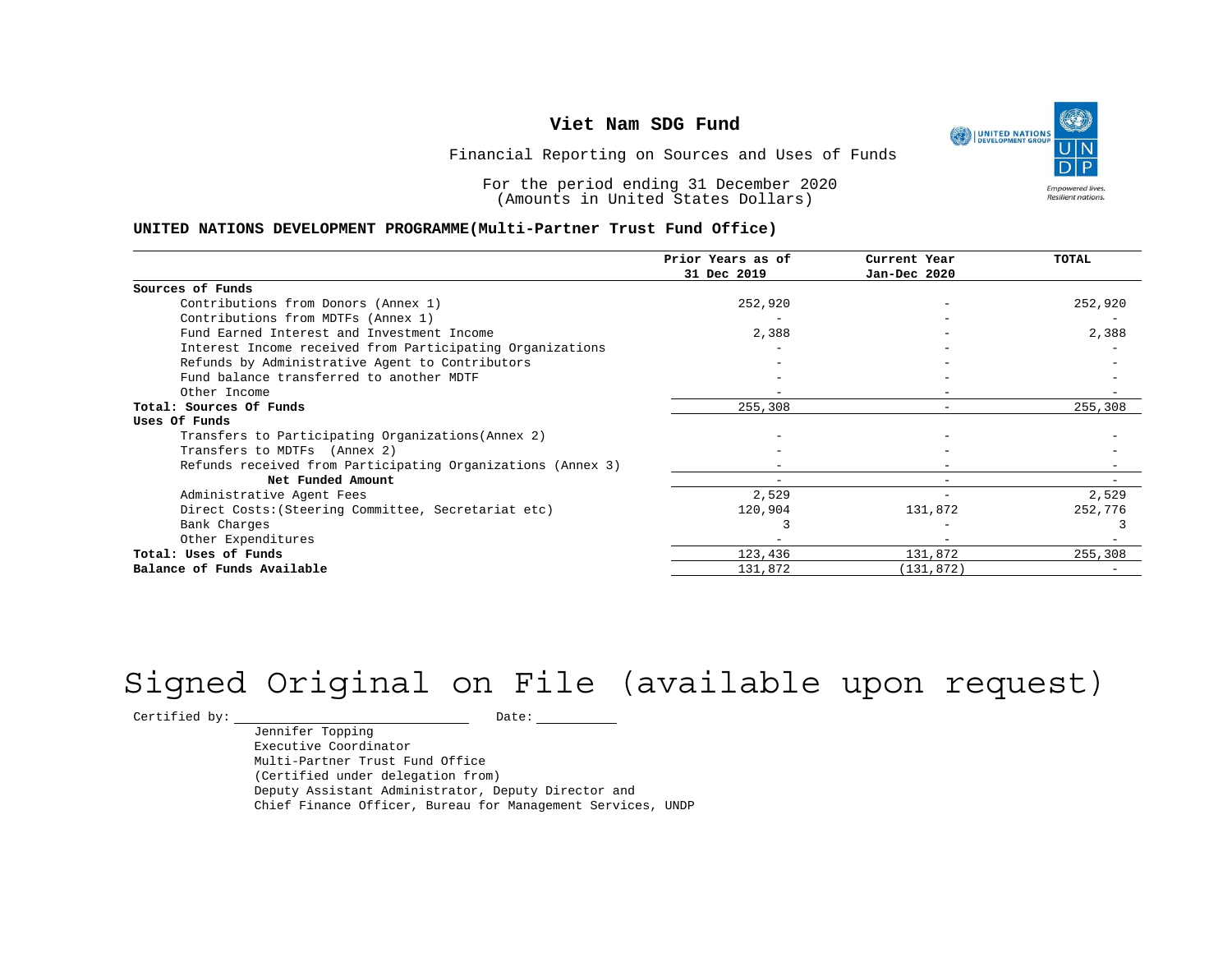

Financial Reporting on Sources and Uses of Funds

For the period ending 31 December 2020 (Amounts in United States Dollars)

#### **UNITED NATIONS DEVELOPMENT PROGRAMME(Multi-Partner Trust Fund Office)**

|                                                             | Prior Years as of | Current Year | <b>TOTAL</b> |
|-------------------------------------------------------------|-------------------|--------------|--------------|
|                                                             | 31 Dec 2019       | Jan-Dec 2020 |              |
| Sources of Funds                                            |                   |              |              |
| Contributions from Donors (Annex 1)                         | 252,920           |              | 252,920      |
| Contributions from MDTFs (Annex 1)                          |                   |              |              |
| Fund Earned Interest and Investment Income                  | 2,388             |              | 2,388        |
| Interest Income received from Participating Organizations   |                   |              |              |
| Refunds by Administrative Agent to Contributors             |                   |              |              |
| Fund balance transferred to another MDTF                    |                   |              |              |
| Other Income                                                |                   |              |              |
| Total: Sources Of Funds                                     | 255,308           |              | 255,308      |
| Uses Of Funds                                               |                   |              |              |
| Transfers to Participating Organizations (Annex 2)          |                   |              |              |
| Transfers to MDTFs (Annex 2)                                |                   |              |              |
| Refunds received from Participating Organizations (Annex 3) |                   | -            |              |
| Net Funded Amount                                           |                   | $-$          |              |
| Administrative Agent Fees                                   | 2,529             |              | 2,529        |
| Direct Costs: (Steering Committee, Secretariat etc)         | 120,904           | 131,872      | 252,776      |
| Bank Charges                                                |                   |              |              |
| Other Expenditures                                          |                   |              |              |
| Total: Uses of Funds                                        | 123,436           | 131,872      | 255,308      |
| Balance of Funds Available                                  | 131,872           | (131, 872)   |              |

# Signed Original on File (available upon request)

 $\begin{tabular}{c} \multicolumn{2}{c}{{\texttt{Certified by:}}}} \quad \quad \texttt{Date:} \end{tabular}$ 

Jennifer Topping Executive Coordinator Multi-Partner Trust Fund Office (Certified under delegation from) Deputy Assistant Administrator, Deputy Director and Chief Finance Officer, Bureau for Management Services, UNDP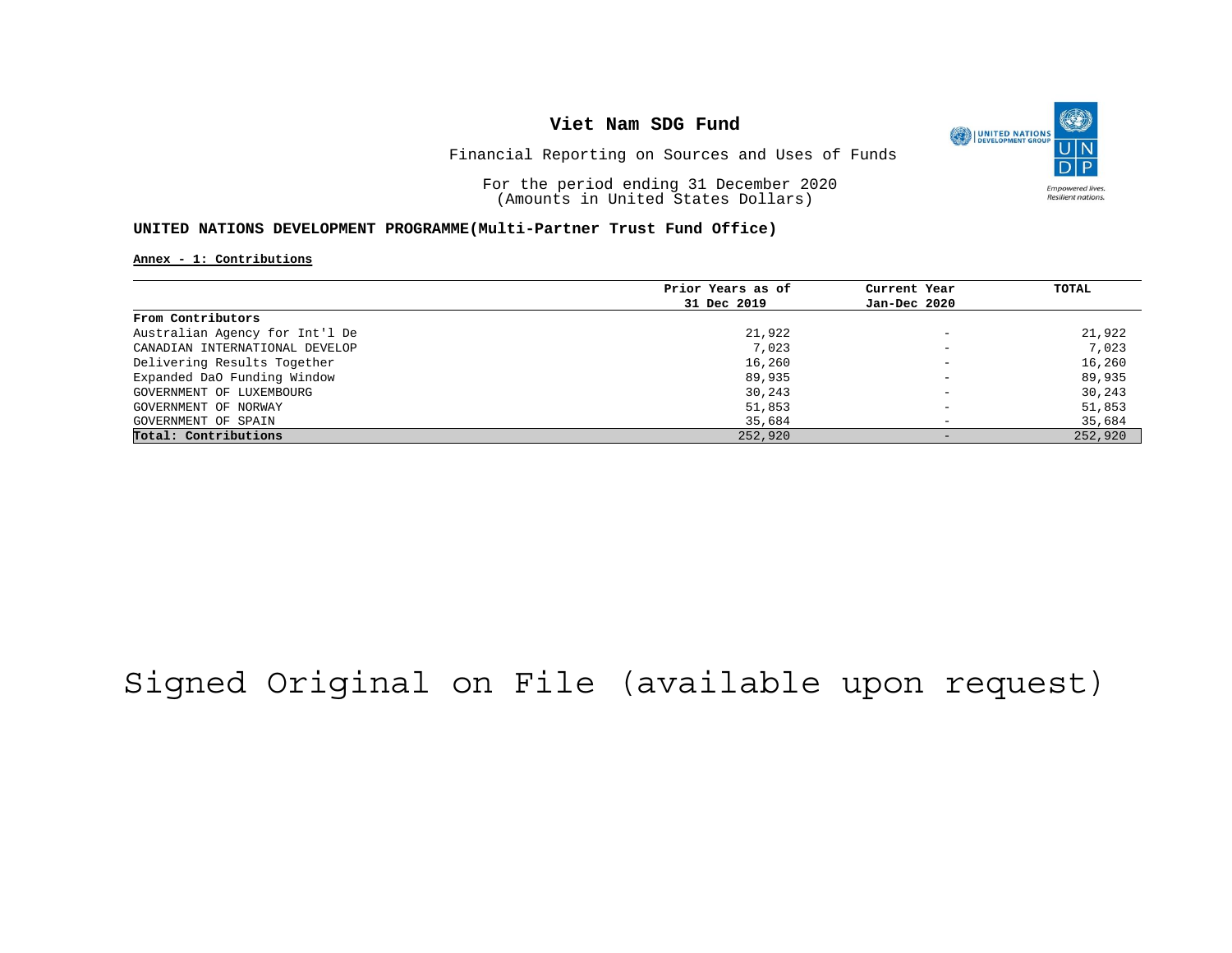

Financial Reporting on Sources and Uses of Funds

For the period ending 31 December 2020 (Amounts in United States Dollars)

#### **UNITED NATIONS DEVELOPMENT PROGRAMME(Multi-Partner Trust Fund Office)**

#### **Annex - 1: Contributions**

|                                | Prior Years as of | Current Year                 | TOTAL   |
|--------------------------------|-------------------|------------------------------|---------|
|                                | 31 Dec 2019       | Jan-Dec 2020                 |         |
| From Contributors              |                   |                              |         |
| Australian Agency for Int'l De | 21,922            | $\overline{\phantom{0}}$     | 21,922  |
| CANADIAN INTERNATIONAL DEVELOP | 7,023             | $\overline{\phantom{m}}$     | 7,023   |
| Delivering Results Together    | 16,260            | $\overline{\phantom{0}}$     | 16,260  |
| Expanded DaO Funding Window    | 89,935            | $\overline{\phantom{0}}$     | 89,935  |
| GOVERNMENT OF LUXEMBOURG       | 30,243            | $\overline{\phantom{m}}$     | 30,243  |
| GOVERNMENT OF NORWAY           | 51,853            |                              | 51,853  |
| GOVERNMENT OF SPAIN            | 35,684            | $\overline{\phantom{0}}$     | 35,684  |
| Total: Contributions           | 252,920           | $\qquad \qquad \blacksquare$ | 252,920 |

## Signed Original on File (available upon request)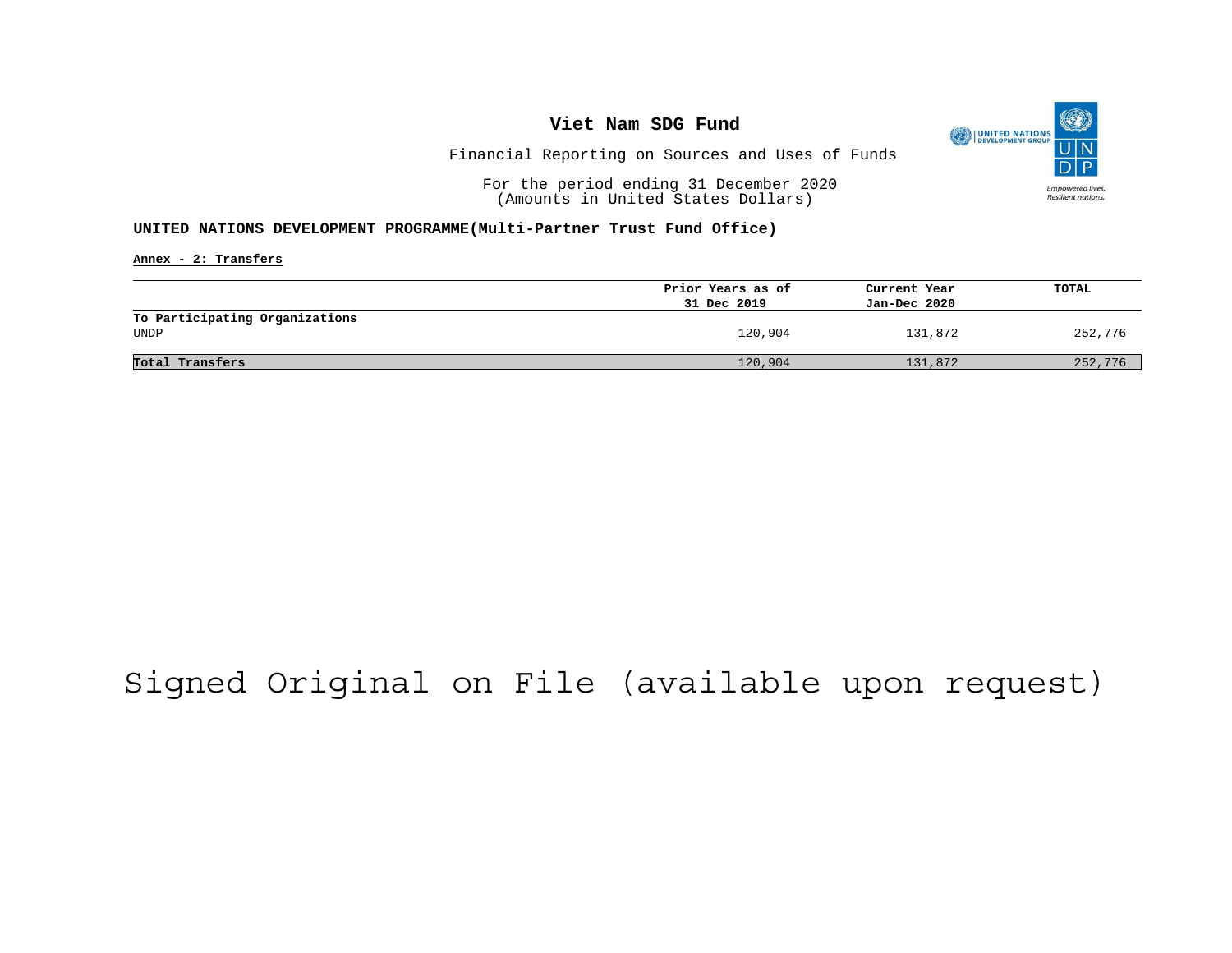

Financial Reporting on Sources and Uses of Funds

For the period ending 31 December 2020 (Amounts in United States Dollars)

### **UNITED NATIONS DEVELOPMENT PROGRAMME(Multi-Partner Trust Fund Office)**

**Annex - 2: Transfers**

|                                        | Prior Years as of<br>31 Dec 2019 | Current Year<br>Jan-Dec 2020 | <b>TOTAL</b> |
|----------------------------------------|----------------------------------|------------------------------|--------------|
| To Participating Organizations<br>UNDP | 120,904                          | 131,872                      | 252,776      |
| Total Transfers                        | 120,904                          | 131,872                      | 252,776      |

## Signed Original on File (available upon request)